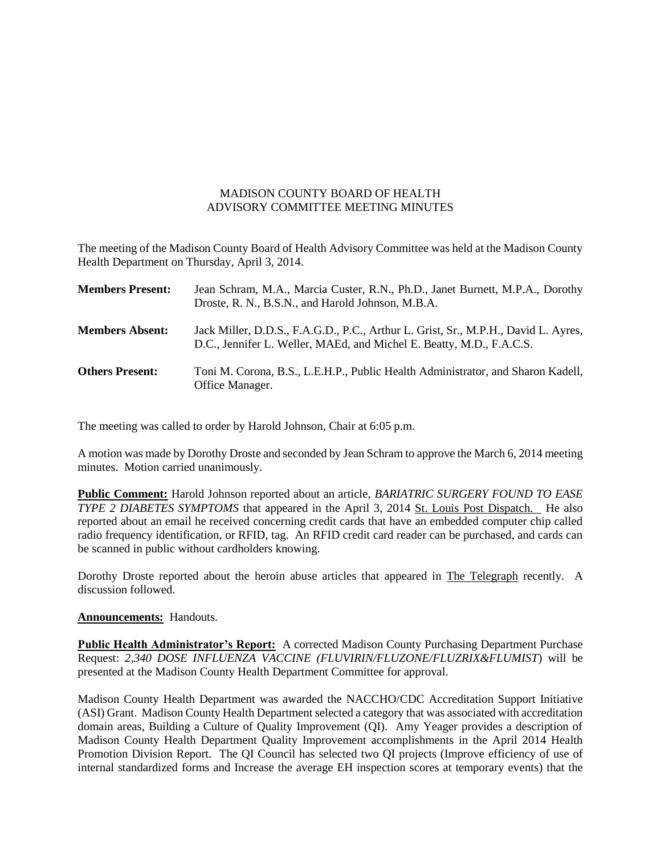## MADISON COUNTY BOARD OF HEALTH ADVISORY COMMITTEE MEETING MINUTES

The meeting of the Madison County Board of Health Advisory Committee was held at the Madison County Health Department on Thursday, April 3, 2014.

| <b>Members Present:</b> | Jean Schram, M.A., Marcia Custer, R.N., Ph.D., Janet Burnett, M.P.A., Dorothy<br>Droste, R. N., B.S.N., and Harold Johnson, M.B.A.                         |
|-------------------------|------------------------------------------------------------------------------------------------------------------------------------------------------------|
| <b>Members Absent:</b>  | Jack Miller, D.D.S., F.A.G.D., P.C., Arthur L. Grist, Sr., M.P.H., David L. Ayres,<br>D.C., Jennifer L. Weller, MAEd, and Michel E. Beatty, M.D., F.A.C.S. |
| <b>Others Present:</b>  | Toni M. Corona, B.S., L.E.H.P., Public Health Administrator, and Sharon Kadell,<br>Office Manager.                                                         |

The meeting was called to order by Harold Johnson, Chair at 6:05 p.m.

A motion was made by Dorothy Droste and seconded by Jean Schram to approve the March 6, 2014 meeting minutes. Motion carried unanimously.

**Public Comment:** Harold Johnson reported about an article, *BARIATRIC SURGERY FOUND TO EASE TYPE 2 DIABETES SYMPTOMS* that appeared in the April 3, 2014 St. Louis Post Dispatch. He also reported about an email he received concerning credit cards that have an embedded computer chip called radio frequency identification, or RFID, tag. An RFID credit card reader can be purchased, and cards can be scanned in public without cardholders knowing.

Dorothy Droste reported about the heroin abuse articles that appeared in The Telegraph recently. A discussion followed.

## **Announcements:** Handouts.

**Public Health Administrator's Report:** A corrected Madison County Purchasing Department Purchase Request: *2,340 DOSE INFLUENZA VACCINE (FLUVIRIN/FLUZONE/FLUZRIX&FLUMIST*) will be presented at the Madison County Health Department Committee for approval.

Madison County Health Department was awarded the NACCHO/CDC Accreditation Support Initiative (ASI) Grant. Madison County Health Department selected a category that was associated with accreditation domain areas, Building a Culture of Quality Improvement (QI). Amy Yeager provides a description of Madison County Health Department Quality Improvement accomplishments in the April 2014 Health Promotion Division Report. The QI Council has selected two QI projects (Improve efficiency of use of internal standardized forms and Increase the average EH inspection scores at temporary events) that the